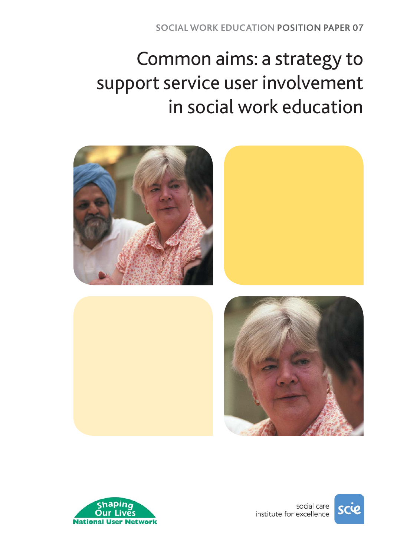# Common aims: a strategy to support service user involvement in social work education







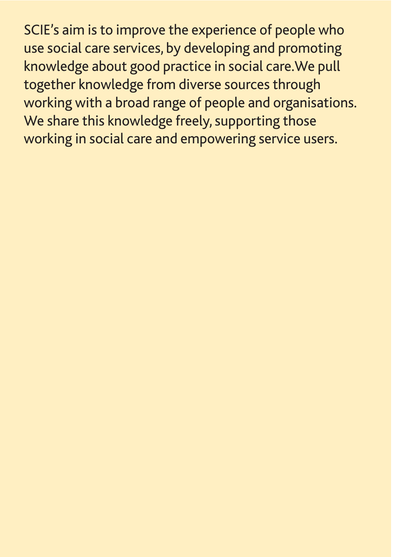SCIE's aim is to improve the experience of people who use social care services, by developing and promoting knowledge about good practice in social care.We pull together knowledge from diverse sources through working with a broad range of people and organisations. We share this knowledge freely, supporting those working in social care and empowering service users.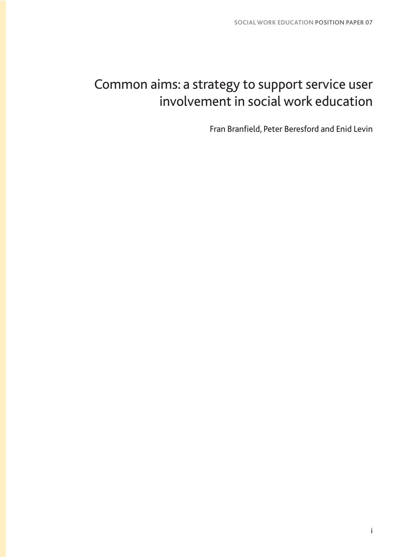# Common aims: a strategy to support service user involvement in social work education

Fran Branfield, Peter Beresford and Enid Levin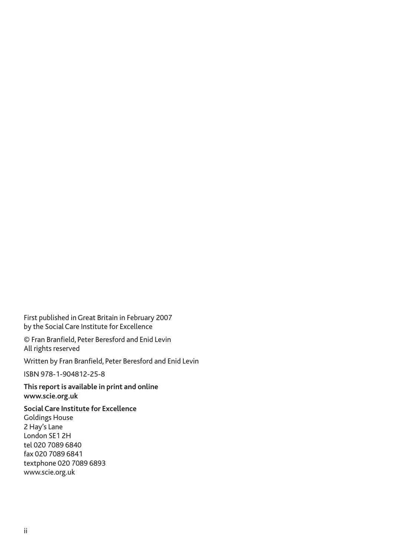First published in Great Britain in February 2007 by the Social Care Institute for Excellence

© Fran Branfield, Peter Beresford and Enid Levin All rights reserved

Written by Fran Branfield, Peter Beresford and Enid Levin

ISBN 978-1-904812-25-8

**This report is available in print and online www.scie.org.uk**

**Social Care Institute for Excellence** Goldings House 2 Hay's Lane London SE1 2H tel 020 7089 6840 fax 020 7089 6841 textphone 020 7089 6893 www.scie.org.uk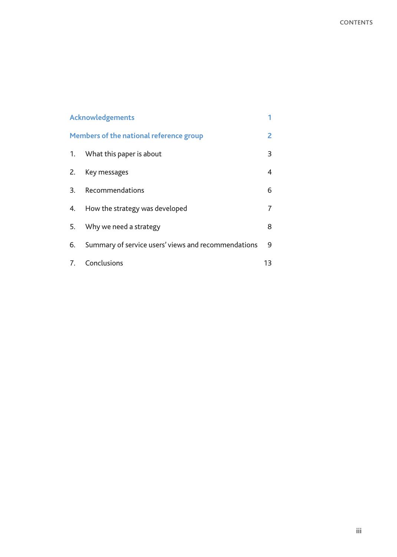| <b>Acknowledgements</b>                 |                                                     |    |
|-----------------------------------------|-----------------------------------------------------|----|
| Members of the national reference group |                                                     | 2  |
| 1.                                      | What this paper is about                            | 3  |
| Z.                                      | Key messages                                        | 4  |
| 3.                                      | Recommendations                                     | 6  |
| 4.                                      | How the strategy was developed                      | 7  |
| 5.                                      | Why we need a strategy                              | 8  |
| 6.                                      | Summary of service users' views and recommendations | 9  |
| 7.                                      | Conclusions                                         | 13 |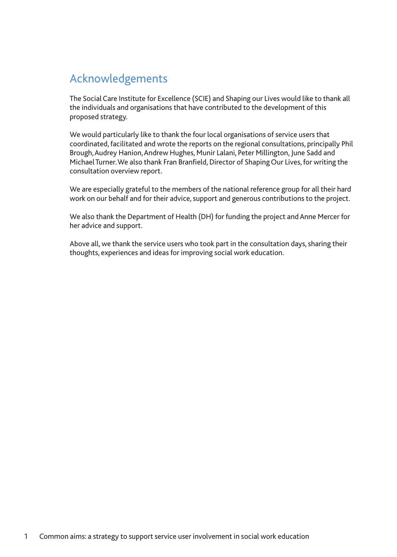# Acknowledgements

The Social Care Institute for Excellence (SCIE) and Shaping our Lives would like to thank all the individuals and organisations that have contributed to the development of this proposed strategy.

We would particularly like to thank the four local organisations of service users that coordinated, facilitated and wrote the reports on the regional consultations, principally Phil Brough,Audrey Hanion,Andrew Hughes, Munir Lalani, Peter Millington, June Sadd and Michael Turner.We also thank Fran Branfield, Director of Shaping Our Lives, for writing the consultation overview report.

We are especially grateful to the members of the national reference group for all their hard work on our behalf and for their advice, support and generous contributions to the project.

We also thank the Department of Health (DH) for funding the project and Anne Mercer for her advice and support.

Above all, we thank the service users who took part in the consultation days, sharing their thoughts, experiences and ideas for improving social work education.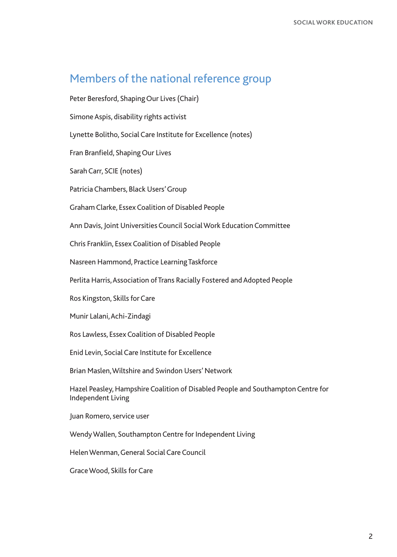### Members of the national reference group

Peter Beresford, Shaping Our Lives (Chair)

Simone Aspis, disability rights activist

Lynette Bolitho, Social Care Institute for Excellence (notes)

Fran Branfield, Shaping Our Lives

Sarah Carr, SCIE (notes)

Patricia Chambers, Black Users'Group

Graham Clarke, Essex Coalition of Disabled People

Ann Davis, Joint Universities Council Social Work Education Committee

Chris Franklin, Essex Coalition of Disabled People

Nasreen Hammond, Practice Learning Taskforce

Perlita Harris, Association of Trans Racially Fostered and Adopted People

Ros Kingston, Skills for Care

Munir Lalani, Achi-Zindagi

Ros Lawless, Essex Coalition of Disabled People

Enid Levin, Social Care Institute for Excellence

Brian Maslen,Wiltshire and Swindon Users' Network

Hazel Peasley, Hampshire Coalition of Disabled People and Southampton Centre for Independent Living

Juan Romero, service user

Wendy Wallen, Southampton Centre for Independent Living

Helen Wenman,General Social Care Council

Grace Wood, Skills for Care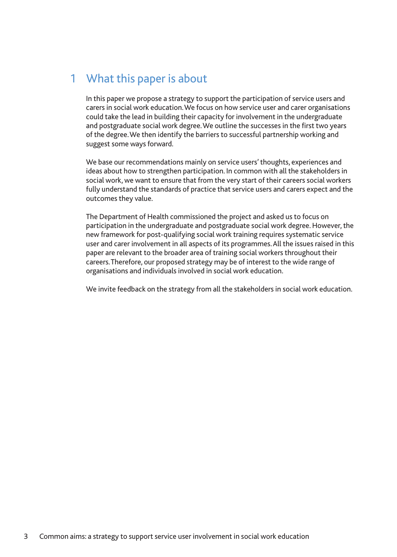# 1 What this paper is about

In this paper we propose a strategy to support the participation of service users and carers in social work education.We focus on how service user and carer organisations could take the lead in building their capacity for involvement in the undergraduate and postgraduate social work degree.We outline the successes in the first two years of the degree.We then identify the barriers to successful partnership working and suggest some ways forward.

We base our recommendations mainly on service users' thoughts, experiences and ideas about how to strengthen participation. In common with all the stakeholders in social work, we want to ensure that from the very start of their careers social workers fully understand the standards of practice that service users and carers expect and the outcomes they value.

The Department of Health commissioned the project and asked us to focus on participation in the undergraduate and postgraduate social work degree. However, the new framework for post-qualifying social work training requires systematic service user and carer involvement in all aspects of its programmes.All the issues raised in this paper are relevant to the broader area of training social workers throughout their careers.Therefore, our proposed strategy may be of interest to the wide range of organisations and individuals involved in social work education.

We invite feedback on the strategy from all the stakeholders in social work education.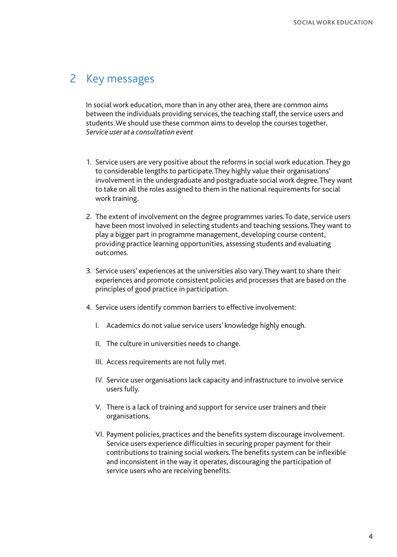### 2 Key messages

In social work education, more than in any other area, there are common aims between the individuals providing services, the teaching staff, the service users and students.We should use these common aims to develop the courses together. *Service user at a consultation event*

- 1. Service users are very positive about the reforms in social work education.They go to considerable lengths to participate.They highly value their organisations' involvement in the undergraduate and postgraduate social work degree.They want to take on all the roles assigned to them in the national requirements for social work training.
- 2. The extent of involvement on the degree programmes varies.To date, service users have been most involved in selecting students and teaching sessions.They want to play a bigger part in programme management, developing course content, providing practice learning opportunities, assessing students and evaluating outcomes.
- 3. Service users' experiences at the universities also vary.They want to share their experiences and promote consistent policies and processes that are based on the principles of good practice in participation.
- 4. Service users identify common barriers to effective involvement:
	- I. Academics do not value service users' knowledge highly enough.
	- II. The culture in universities needs to change.
	- III. Access requirements are not fully met.
	- IV. Service user organisations lack capacity and infrastructure to involve service users fully.
	- V. There is a lack of training and support for service user trainers and their organisations.
	- VI. Payment policies, practices and the benefits system discourage involvement. Service users experience difficulties in securing proper payment for their contributions to training social workers.The benefits system can be inflexible and inconsistent in the way it operates, discouraging the participation of service users who are receiving benefits.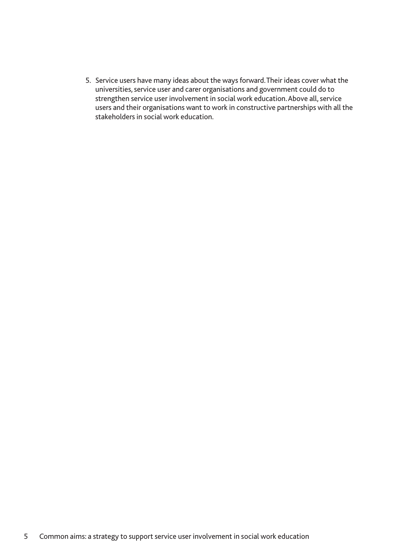5. Service users have many ideas about the ways forward.Their ideas cover what the universities, service user and carer organisations and government could do to strengthen service user involvement in social work education.Above all, service users and their organisations want to work in constructive partnerships with all the stakeholders in social work education.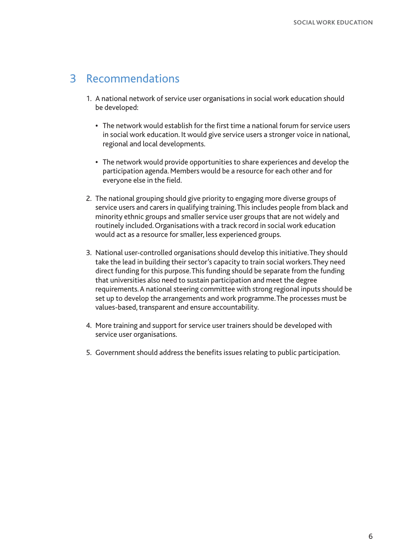### 3 Recommendations

- 1. A national network of service user organisations in social work education should be developed:
	- **•** The network would establish for the first time a national forum for service users in social work education. It would give service users a stronger voice in national, regional and local developments.
	- **•** The network would provide opportunities to share experiences and develop the participation agenda. Members would be a resource for each other and for everyone else in the field.
- 2. The national grouping should give priority to engaging more diverse groups of service users and carers in qualifying training.This includes people from black and minority ethnic groups and smaller service user groups that are not widely and routinely included.Organisations with a track record in social work education would act as a resource for smaller, less experienced groups.
- 3. National user-controlled organisations should develop this initiative.They should take the lead in building their sector's capacity to train social workers.They need direct funding for this purpose.This funding should be separate from the funding that universities also need to sustain participation and meet the degree requirements.A national steering committee with strong regional inputs should be set up to develop the arrangements and work programme.The processes must be values-based, transparent and ensure accountability.
- 4. More training and support for service user trainers should be developed with service user organisations.
- 5. Government should address the benefits issues relating to public participation.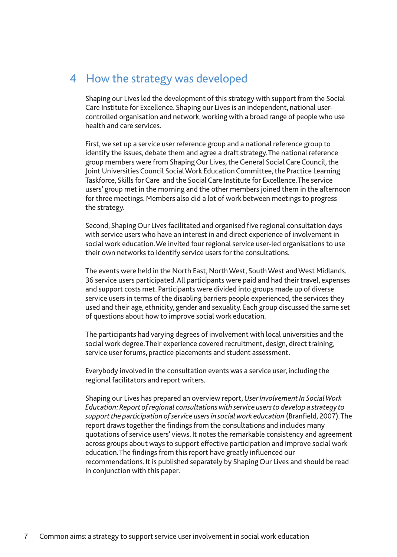### 4 How the strategy was developed

Shaping our Lives led the development of this strategy with support from the Social Care Institute for Excellence. Shaping our Lives is an independent, national usercontrolled organisation and network, working with a broad range of people who use health and care services.

First, we set up a service user reference group and a national reference group to identify the issues, debate them and agree a draft strategy.The national reference group members were from Shaping Our Lives, the General Social Care Council, the Joint Universities Council Social Work Education Committee, the Practice Learning Taskforce, Skills for Care and the Social Care Institute for Excellence.The service users' group met in the morning and the other members joined them in the afternoon for three meetings. Members also did a lot of work between meetings to progress the strategy.

Second, Shaping Our Lives facilitated and organised five regional consultation days with service users who have an interest in and direct experience of involvement in social work education.We invited four regional service user-led organisations to use their own networks to identify service users for the consultations.

The events were held in the North East, North West, South West and West Midlands. 36 service users participated.All participants were paid and had their travel, expenses and support costs met. Participants were divided into groups made up of diverse service users in terms of the disabling barriers people experienced, the services they used and their age, ethnicity, gender and sexuality. Each group discussed the same set of questions about how to improve social work education.

The participants had varying degrees of involvement with local universities and the social work degree.Their experience covered recruitment, design, direct training, service user forums, practice placements and student assessment.

Everybody involved in the consultation events was a service user, including the regional facilitators and report writers.

Shaping our Lives has prepared an overview report,*User Involvement In Social Work Education: Report of regional consultations with service users to develop a strategy to support the participation of service users in social work education* (Branfield, 2007).The report draws together the findings from the consultations and includes many quotations of service users' views. It notes the remarkable consistency and agreement across groups about ways to support effective participation and improve social work education.The findings from this report have greatly influenced our recommendations. It is published separately by Shaping Our Lives and should be read in conjunction with this paper.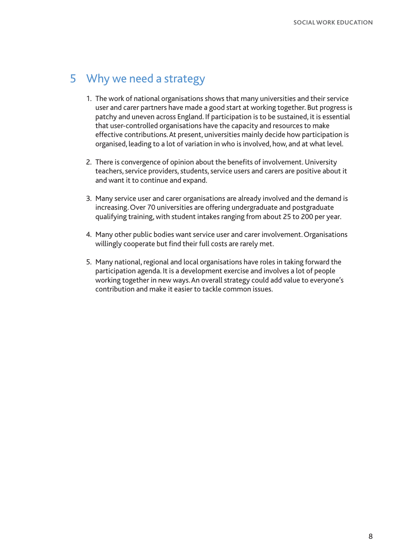## 5 Why we need a strategy

- 1. The work of national organisations shows that many universities and their service user and carer partners have made a good start at working together. But progress is patchy and uneven across England. If participation is to be sustained, it is essential that user-controlled organisations have the capacity and resources to make effective contributions.At present, universities mainly decide how participation is organised, leading to a lot of variation in who is involved, how, and at what level.
- 2. There is convergence of opinion about the benefits of involvement. University teachers, service providers, students, service users and carers are positive about it and want it to continue and expand.
- 3. Many service user and carer organisations are already involved and the demand is increasing.Over 70 universities are offering undergraduate and postgraduate qualifying training, with student intakes ranging from about 25 to 200 per year.
- 4. Many other public bodies want service user and carer involvement.Organisations willingly cooperate but find their full costs are rarely met.
- 5. Many national, regional and local organisations have roles in taking forward the participation agenda. It is a development exercise and involves a lot of people working together in new ways.An overall strategy could add value to everyone's contribution and make it easier to tackle common issues.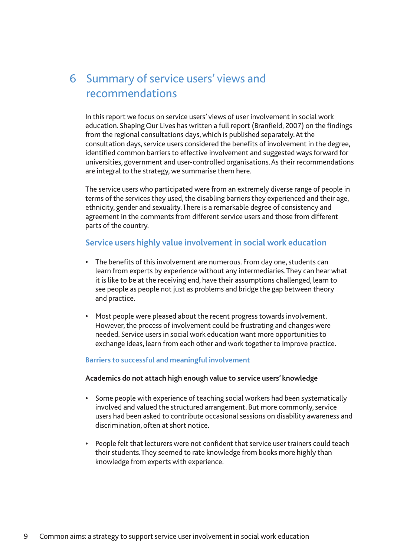# 6 Summary of service users' views and recommendations

In this report we focus on service users' views of user involvement in social work education. Shaping Our Lives has written a full report (Branfield, 2007) on the findings from the regional consultations days, which is published separately.At the consultation days, service users considered the benefits of involvement in the degree, identified common barriers to effective involvement and suggested ways forward for universities, government and user-controlled organisations.As their recommendations are integral to the strategy, we summarise them here.

The service users who participated were from an extremely diverse range of people in terms of the services they used, the disabling barriers they experienced and their age, ethnicity, gender and sexuality.There is a remarkable degree of consistency and agreement in the comments from different service users and those from different parts of the country.

#### **Service users highly value involvement in social work education**

- **•** The benefits of this involvement are numerous. From day one, students can learn from experts by experience without any intermediaries.They can hear what it is like to be at the receiving end, have their assumptions challenged, learn to see people as people not just as problems and bridge the gap between theory and practice.
- **•** Most people were pleased about the recent progress towards involvement. However, the process of involvement could be frustrating and changes were needed. Service users in social work education want more opportunities to exchange ideas, learn from each other and work together to improve practice.

#### **Barriers to successful and meaningful involvement**

#### **Academics do not attach high enough value to service users' knowledge**

- **•** Some people with experience of teaching social workers had been systematically involved and valued the structured arrangement. But more commonly, service users had been asked to contribute occasional sessions on disability awareness and discrimination, often at short notice.
- **•** People felt that lecturers were not confident that service user trainers could teach their students.They seemed to rate knowledge from books more highly than knowledge from experts with experience.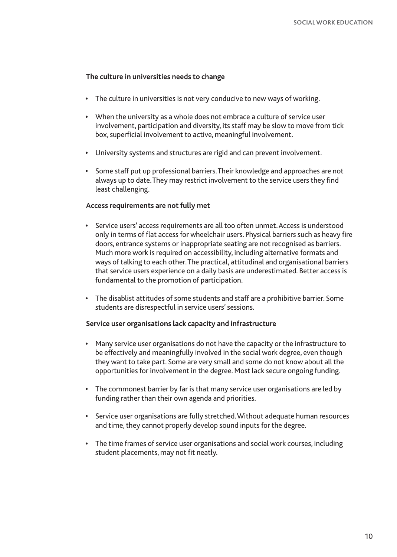#### **The culture in universities needs to change**

- **•** The culture in universities is not very conducive to new ways of working.
- **•** When the university as a whole does not embrace a culture of service user involvement, participation and diversity, its staff may be slow to move from tick box, superficial involvement to active, meaningful involvement.
- **•** University systems and structures are rigid and can prevent involvement.
- **•** Some staff put up professional barriers.Their knowledge and approaches are not always up to date.They may restrict involvement to the service users they find least challenging.

#### **Access requirements are not fully met**

- **•** Service users' access requirements are all too often unmet.Access is understood only in terms of flat access for wheelchair users. Physical barriers such as heavy fire doors, entrance systems or inappropriate seating are not recognised as barriers. Much more work is required on accessibility, including alternative formats and ways of talking to each other.The practical, attitudinal and organisational barriers that service users experience on a daily basis are underestimated. Better access is fundamental to the promotion of participation.
- **•** The disablist attitudes of some students and staff are a prohibitive barrier. Some students are disrespectful in service users' sessions.

#### **Service user organisations lack capacity and infrastructure**

- **•** Many service user organisations do not have the capacity or the infrastructure to be effectively and meaningfully involved in the social work degree, even though they want to take part. Some are very small and some do not know about all the opportunities for involvement in the degree. Most lack secure ongoing funding.
- **•** The commonest barrier by far is that many service user organisations are led by funding rather than their own agenda and priorities.
- **•** Service user organisations are fully stretched.Without adequate human resources and time, they cannot properly develop sound inputs for the degree.
- **•** The time frames of service user organisations and social work courses, including student placements, may not fit neatly.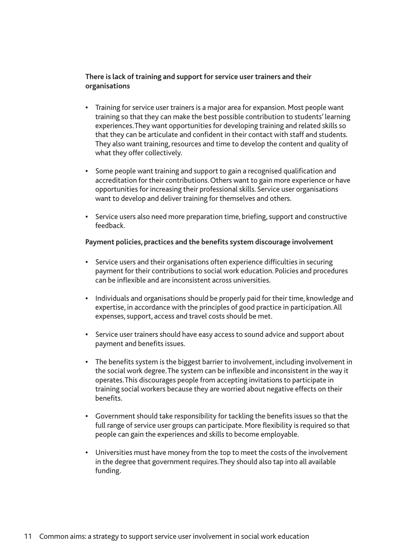#### **There is lack of training and support for service user trainers and their organisations**

- **•** Training for service user trainers is a major area for expansion. Most people want training so that they can make the best possible contribution to students' learning experiences.They want opportunities for developing training and related skills so that they can be articulate and confident in their contact with staff and students. They also want training, resources and time to develop the content and quality of what they offer collectively.
- **•** Some people want training and support to gain a recognised qualification and accreditation for their contributions.Others want to gain more experience or have opportunities for increasing their professional skills. Service user organisations want to develop and deliver training for themselves and others.
- **•** Service users also need more preparation time, briefing, support and constructive feedback.

#### **Payment policies, practices and the benefits system discourage involvement**

- **•** Service users and their organisations often experience difficulties in securing payment for their contributions to social work education. Policies and procedures can be inflexible and are inconsistent across universities.
- **•** Individuals and organisations should be properly paid for their time, knowledge and expertise, in accordance with the principles of good practice in participation.All expenses, support, access and travel costs should be met.
- **•** Service user trainers should have easy access to sound advice and support about payment and benefits issues.
- **•** The benefits system is the biggest barrier to involvement, including involvement in the social work degree.The system can be inflexible and inconsistent in the way it operates.This discourages people from accepting invitations to participate in training social workers because they are worried about negative effects on their benefits.
- **•** Government should take responsibility for tackling the benefits issues so that the full range of service user groups can participate. More flexibility is required so that people can gain the experiences and skills to become employable.
- **•** Universities must have money from the top to meet the costs of the involvement in the degree that government requires.They should also tap into all available funding.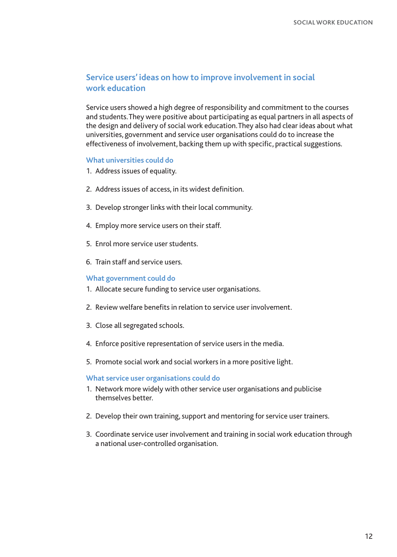#### **Service users' ideas on how to improve involvement in social work education**

Service users showed a high degree of responsibility and commitment to the courses and students.They were positive about participating as equal partners in all aspects of the design and delivery of social work education.They also had clear ideas about what universities, government and service user organisations could do to increase the effectiveness of involvement, backing them up with specific, practical suggestions.

#### **What universities could do**

- 1. Address issues of equality.
- 2. Address issues of access, in its widest definition.
- 3. Develop stronger links with their local community.
- 4. Employ more service users on their staff.
- 5. Enrol more service user students.
- 6. Train staff and service users.

#### **What government could do**

- 1. Allocate secure funding to service user organisations.
- 2. Review welfare benefits in relation to service user involvement.
- 3. Close all segregated schools.
- 4. Enforce positive representation of service users in the media.
- 5. Promote social work and social workers in a more positive light.

#### **What service user organisations could do**

- 1. Network more widely with other service user organisations and publicise themselves better.
- 2. Develop their own training, support and mentoring for service user trainers.
- 3. Coordinate service user involvement and training in social work education through a national user-controlled organisation.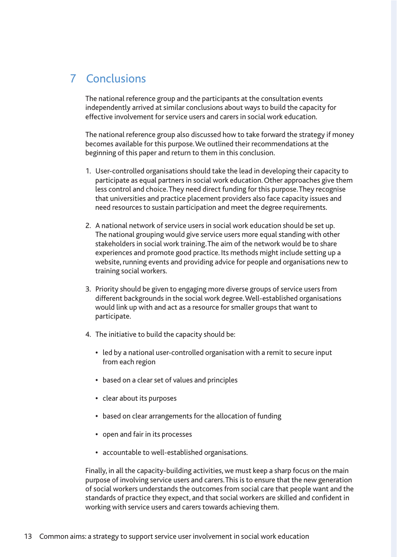# 7 Conclusions

The national reference group and the participants at the consultation events independently arrived at similar conclusions about ways to build the capacity for effective involvement for service users and carers in social work education.

The national reference group also discussed how to take forward the strategy if money becomes available for this purpose.We outlined their recommendations at the beginning of this paper and return to them in this conclusion.

- 1. User-controlled organisations should take the lead in developing their capacity to participate as equal partners in social work education.Other approaches give them less control and choice.They need direct funding for this purpose.They recognise that universities and practice placement providers also face capacity issues and need resources to sustain participation and meet the degree requirements.
- 2. A national network of service users in social work education should be set up. The national grouping would give service users more equal standing with other stakeholders in social work training.The aim of the network would be to share experiences and promote good practice. Its methods might include setting up a website, running events and providing advice for people and organisations new to training social workers.
- 3. Priority should be given to engaging more diverse groups of service users from different backgrounds in the social work degree.Well-established organisations would link up with and act as a resource for smaller groups that want to participate.
- 4. The initiative to build the capacity should be:
	- **•** led by a national user-controlled organisation with a remit to secure input from each region
	- **•** based on a clear set of values and principles
	- **•** clear about its purposes
	- **•** based on clear arrangements for the allocation of funding
	- **•** open and fair in its processes
	- **•** accountable to well-established organisations.

Finally, in all the capacity-building activities, we must keep a sharp focus on the main purpose of involving service users and carers.This is to ensure that the new generation of social workers understands the outcomes from social care that people want and the standards of practice they expect, and that social workers are skilled and confident in working with service users and carers towards achieving them.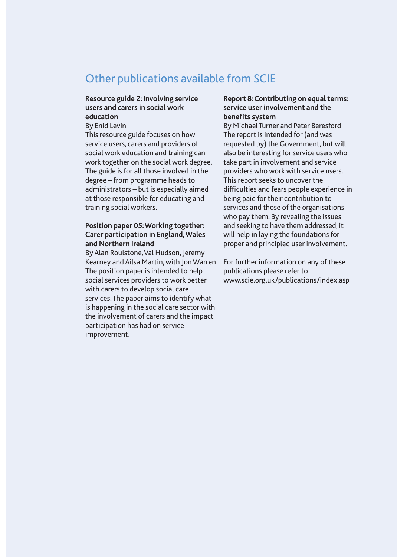### Other publications available from SCIE

#### **Resource guide 2: Involving service users and carers in social work education**

By Enid Levin

This resource guide focuses on how service users, carers and providers of social work education and training can work together on the social work degree. The guide is for all those involved in the degree – from programme heads to administrators – but is especially aimed at those responsible for educating and training social workers.

#### **Position paper 05:Working together: Carer participation in England,Wales and Northern Ireland**

By Alan Roulstone, Val Hudson, Jeremy Kearney and Ailsa Martin, with Jon Warren The position paper is intended to help social services providers to work better with carers to develop social care services.The paper aims to identify what is happening in the social care sector with the involvement of carers and the impact participation has had on service improvement.

#### **Report 8:Contributing on equal terms: service user involvement and the benefits system**

By Michael Turner and Peter Beresford The report is intended for (and was requested by) the Government, but will also be interesting for service users who take part in involvement and service providers who work with service users. This report seeks to uncover the difficulties and fears people experience in being paid for their contribution to services and those of the organisations who pay them. By revealing the issues and seeking to have them addressed, it will help in laying the foundations for proper and principled user involvement.

For further information on any of these publications please refer to www.scie.org.uk/publications/index.asp